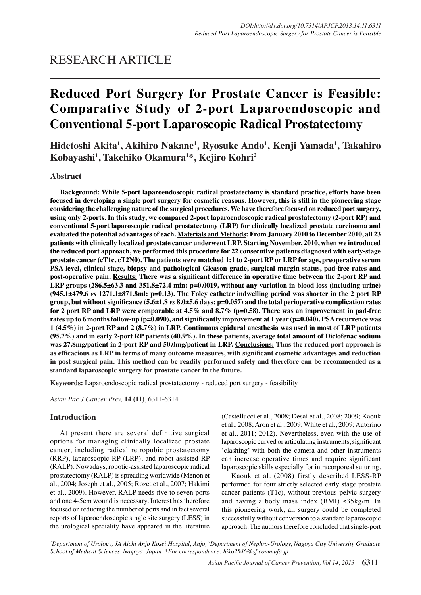# RESEARCH ARTICLE

# **Reduced Port Surgery for Prostate Cancer is Feasible: Comparative Study of 2-port Laparoendoscopic and Conventional 5-port Laparoscopic Radical Prostatectomy**

**Hidetoshi Akita1 , Akihiro Nakane1 , Ryosuke Ando1 , Kenji Yamada1 , Takahiro Kobayashi1 , Takehiko Okamura1 \*, Kejiro Kohri2**

# **Abstract**

**Background: While 5-port laparoendoscopic radical prostatectomy is standard practice, efforts have been focused in developing a single port surgery for cosmetic reasons. However, this is still in the pioneering stage considering the challenging nature of the surgical procedures. We have therefore focused on reduced port surgery, using only 2-ports. In this study, we compared 2-port laparoendoscopic radical prostatectomy (2-port RP) and conventional 5-port laparoscopic radical prostatectomy (LRP) for clinically localized prostate carcinoma and evaluated the potential advantages of each. Materials and Methods: From January 2010 to December 2010, all 23 patients with clinically localized prostate cancer underwent LRP. Starting November, 2010, when we introduced the reduced port approach, we performed this procedure for 22 consecutive patients diagnosed with early-stage prostate cancer (cT1c, cT2N0). The patients were matched 1:1 to 2-port RP or LRP for age, preoperative serum PSA level, clinical stage, biopsy and pathological Gleason grade, surgical margin status, pad-free rates and post-operative pain. Results: There was a significant difference in operative time between the 2-port RP and LRP groups (286.5±63.3 and 351.8±72.4 min: p=0.0019, without any variation in blood loss (including urine) (945.1±479.6** *vs* **1271.1±871.8ml: p=0.13). The Foley catheter indwelling period was shorter in the 2 port RP group, but without significance (5.6±1.8** *vs* **8.0±5.6 days: p=0.057) and the total perioperative complication rates for 2 port RP and LRP were comparable at 4.5% and 8.7% (p=0.58). There was an improvement in pad-free rates up to 6 months follow-up (p=0.090), and significantly improvement at 1 year (p=0.040). PSA recurrence was 1 (4.5%) in 2-port RP and 2 (8.7%) in LRP. Continuous epidural anesthesia was used in most of LRP patients (95.7%) and in early 2-port RP patients (40.9%). In these patients, average total amount of Diclofenac sodium was 27.8mg/patient in 2-port RP and 50.0mg/patient in LRP. Conclusions: Thus the reduced port approach is as efficacious as LRP in terms of many outcome measures, with significant cosmetic advantages and reduction in post surgical pain. This method can be readily performed safely and therefore can be recommended as a standard laparoscopic surgery for prostate cancer in the future.** 

**Keywords:** Laparoendoscopic radical prostatectomy - reduced port surgery - feasibility

*Asian Pac J Cancer Prev,* **14 (11)**, 6311-6314

# **Introduction**

At present there are several definitive surgical options for managing clinically localized prostate cancer, including radical retropubic prostatectomy (RRP), laparoscopic RP (LRP), and robot-assisted RP (RALP). Nowadays, robotic-assisted laparoscopic radical prostatectomy (RALP) is spreading worldwide (Menon et al., 2004; Joseph et al., 2005; Rozet et al., 2007; Hakimi et al., 2009). However, RALP needs five to seven ports and one 4-5cm wound is necessary. Interest has therefore focused on reducing the number of ports and in fact several reports of laparoendoscopic single site surgery (LESS) in the urological speciality have appeared in the literature (Castellucci et al., 2008; Desai et al., 2008; 2009; Kaouk et al., 2008; Aron et al., 2009; White et al., 2009; Autorino et al., 2011; 2012). Nevertheless, even with the use of laparoscopic curved or articulating instruments, significant 'clashing' with both the camera and other instruments can increase operative times and require significant laparoscopic skills especially for intracorporeal suturing.

Kaouk et al. (2008) firstly described LESS-RP performed for four strictly selected early stage prostate cancer patients (T1c), without previous pelvic surgery and having a body mass index (BMI)  $\leq 35 \text{kg/m}$ . In this pioneering work, all surgery could be completed successfully without conversion to a standard laparoscopic approach. The authors therefore concluded that single-port

*1 Department of Urology, JA Aichi Anjo Kosei Hospital, Anjo, 2 Department of Nephro-Urology, Nagoya City University Graduate School of Medical Sciences, Nagoya, Japan \*For correspondence: hiko2546@sf.commufa.jp*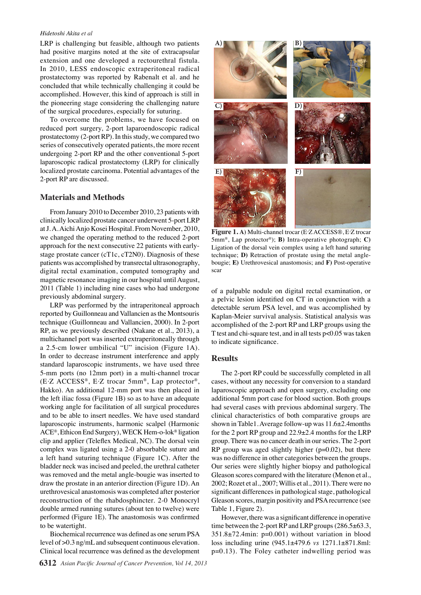#### *Hidetoshi Akita et al*

LRP is challenging but feasible, although two patients had positive margins noted at the site of extracapsular extension and one developed a rectourethral fistula. In 2010, LESS endoscopic extraperitoneal radical prostatectomy was reported by Rabenalt et al. and he concluded that while technically challenging it could be accomplished. However, this kind of approach is still in the pioneering stage considering the challenging nature of the surgical procedures, especially for suturing.

To overcome the problems, we have focused on reduced port surgery, 2-port laparoendoscopic radical prostatectomy (2-port RP). In this study, we compared two series of consecutively operated patients, the more recent undergoing 2-port RP and the other conventional 5-port laparoscopic radical prostatectomy (LRP) for clinically localized prostate carcinoma. Potential advantages of the 2-port RP are discussed.

### **Materials and Methods**

From January 2010 to December 2010, 23 patients with clinically localized prostate cancer underwent 5-port LRP at J. A. Aichi Anjo Kosei Hospital. From November, 2010, we changed the operating method to the reduced 2-port approach for the next consecutive 22 patients with earlystage prostate cancer (cT1c, cT2N0). Diagnosis of these patients was accomplished by transrectal ultrasonography, digital rectal examination, computed tomography and magnetic resonance imaging in our hospital until August, 2011 (Table 1) including nine cases who had undergone previously abdominal surgery.

LRP was performed by the intraperitoneal approach reported by Guillonneau and Vallancien as the Montsouris technique (Guillonneau and Vallancien, 2000). In 2-port RP, as we previously described (Nakane et al., 2013), a multichannel port was inserted extraperitoneally through a 2.5-cm lower umbilical "U" incision (Figure 1A). In order to decrease instrument interference and apply standard laparoscopic instruments, we have used three 5-mm ports (no 12mm port) in a multi-channel trocar (E. Z ACCESS®, E. Z trocar 5mm®, Lap protector®, Hakko). An additional 12-mm port was then placed in the left iliac fossa (Figure 1B) so as to have an adequate working angle for facilitation of all surgical procedures and to be able to insert needles. We have used standard laparoscopic instruments, harmonic scalpel (Harmonic ACE®, Ethicon End Surgery), WECK Hem-o-lok® ligation clip and applier (Teleflex Medical, NC). The dorsal vein complex was ligated using a 2-0 absorbable suture and a left hand suturing technique (Figure 1C). After the bladder neck was incised and peeled, the urethral catheter was removed and the metal angle-bougie was inserted to draw the prostate in an anterior direction (Figure 1D). An urethrovesical anastomosis was completed after posterior reconstruction of the rhabdosphincter. 2-0 Monocryl double armed running sutures (about ten to twelve) were performed (Figure 1E). The anastomosis was confirmed to be watertight.

Biochemical recurrence was defined as one serum PSA level of >0.3 ng/mL and subsequent continuous elevation. Clinical local recurrence was defined as the development



Figure 1. A) Multi-channel trocar (E<sup>.</sup>Z ACCESS®, E<sup>.</sup>Z trocar 5mm®, Lap protector®); **B)** Intra-operative photograph; **C)**  Ligation of the dorsal vein complex using a left hand suturing technique; **D)** Retraction of prostate using the metal anglebougie; **E)** Urethrovesical anastomosis; and **F)** Post-operative scar

of a palpable nodule on digital rectal examination, or a pelvic lesion identified on CT in conjunction with a detectable serum PSA level, and was accomplished by Kaplan-Meier survival analysis. Statistical analysis was accomplished of the 2-port RP and LRP groups using the T test and chi-square test, and in all tests p<0.05 was taken to indicate significance.

# **Results**

The 2-port RP could be successfully completed in all cases, without any necessity for conversion to a standard laparoscopic approach and open surgery, excluding one additional 5mm port case for blood suction. Both groups had several cases with previous abdominal surgery. The clinical characteristics of both comparative groups are shown in Table1. Average follow-up was 11.6±2.4months for the 2 port RP group and 22.9±2.4 months for the LRP group. There was no cancer death in our series. The 2-port RP group was aged slightly higher  $(p=0.02)$ , but there was no difference in other categories between the groups. Our series were slightly higher biopsy and pathological Gleason scores compared with the literature (Menon et al., 2002; Rozet et al., 2007; Willis et al., 2011). There were no significant differences in pathological stage, pathological Gleason scores, margin positivity and PSA recurrence (see Table 1, Figure 2).

However, there was a significant difference in operative time between the 2-port RP and LRP groups (286.5±63.3,  $351.8 \pm 72.4$ min: p=0.001) without variation in blood loss including urine (945.1±479.6 *vs* 1271.1±871.8ml: p=0.13). The Foley catheter indwelling period was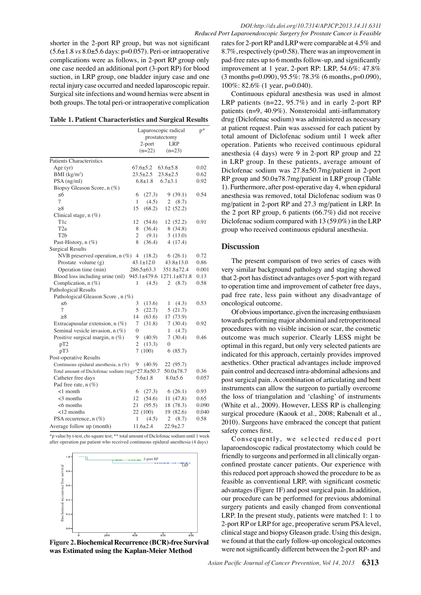shorter in the 2-port RP group, but was not significant (5.6±1.8 *vs* 8.0±5.6 days: p=0.057). Peri-or intraoperative complications were as follows, in 2-port RP group only one case needed an additional port (3-port RP) for blood suction, in LRP group, one bladder injury case and one rectal injury case occurred and needed laparoscopic repair. Surgical site infections and wound hernias were absent in both groups. The total peri-or intraoperative complication

|                                                  | Laparoscopic radical | $p^*$            |                             |       |
|--------------------------------------------------|----------------------|------------------|-----------------------------|-------|
|                                                  |                      | 2-port           | prostatectomy<br><b>LRP</b> |       |
|                                                  |                      | $(n=22)$         | $(n=23)$                    |       |
|                                                  |                      |                  |                             |       |
| <b>Patients Characteristics</b>                  |                      |                  |                             |       |
| Age $(yr)$                                       |                      | $67.6 \pm 5.2$   | $63.6 \pm 5.8$              | 0.02  |
| BMI $(kg/m2)$                                    |                      | $23.5 \pm 2.5$   | $23.8 \pm 2.5$              | 0.62  |
| $PSA$ (ng/ml)                                    |                      | $6.8 \pm 1.8$    | $6.7 \pm 3.1$               | 0.92  |
| Biopsy Gleason Score, n (%)                      |                      |                  |                             |       |
| <6                                               | 6                    | (27.3)           | 9(39.1)                     | 0.54  |
| 7                                                | 1                    | (4.5)            | (8.7)<br>2                  | 10    |
| ≥8                                               | 15                   | (68.2)           | 12 (52.2)                   |       |
| Clinical stage, n (%)                            |                      |                  |                             |       |
| T <sub>1</sub> c                                 | 12                   | (54.6)           | 12 (52.2)                   | 0.91  |
| T <sub>2</sub> a                                 | 8                    | (36.4)           | 8(34.8)                     |       |
| T <sub>2</sub> b                                 | $\overline{c}$       | (9.1)            | 3(13.0)                     |       |
| Past-History, n (%)                              | 8                    | (36.4)           | 4(17.4)                     |       |
| <b>Surgical Results</b>                          |                      |                  |                             |       |
| NVB preserved operation, $n$ (%) 4 (18.2)        |                      |                  | 6(26.1)                     | 0.72  |
| Prostate volume $(g)$                            |                      | $43.1 \pm 12.0$  | $43.8 \pm 13.0$             | 0.86  |
| Operation time (min)                             |                      | $286.5 \pm 63.3$ | $351.8 \pm 72.4$            | 0.001 |
| Blood loss including urine (ml)                  |                      |                  | 945.1±479.6 1271.1±871.8    | 0.13  |
| Complication, $n$ (%)                            | 1                    | (4.5)            | 2<br>(8.7)                  | 0.58  |
| Pathological Results                             |                      |                  |                             |       |
| Pathological Gleason Score, n (%)                |                      |                  |                             |       |
| -6                                               | 3                    | (13.6)           | (4.3)<br>1                  | 0.53  |
| $\overline{7}$                                   | 5                    | (22.7)           | 5(21.7)                     |       |
| >8                                               | 14                   | (63.6)           | 17 (73.9)                   |       |
| Extracapusular extension, $n$ (%)                | 7                    | (31.8)           | 7(30.4)                     | 0.92  |
| Seminal vesicle invasion, $n(\%)$                | $\theta$             |                  | (4.7)<br>1                  |       |
| Positive surgical margin, $n(\%)$                | 9                    | (40.9)           | 7(30.4)                     | 0.46  |
| pT2                                              | $\overline{2}$       | (13.3)           | 0                           |       |
| pT3                                              |                      | 7(100)           | 6(85.7)                     |       |
| Post-operative Results                           |                      |                  |                             |       |
| Continuous epidural anesthesia, n (%)            |                      | 9(40.9)          | 22 (95.7)                   |       |
| Total amount of Diclofenac sodium (mg)*27.8±50.7 |                      |                  | $50.0 \pm 78.7$             | 0.36  |
| Catheter free days                               |                      | $5.6 \pm 1.8$    | $8.0 + 5.6$                 | 0.057 |
| Pad free rate, n (%)                             |                      |                  |                             |       |
| $<1$ month                                       | 6                    | (27.3)           | 6(26.1)                     | 0.93  |
| $<$ 3 months                                     | 12                   | (54.6)           | 11(47.8)                    | 0.65  |
| $< 6$ months                                     | 21                   | (95.5)           | 18 (78.3)                   | 0.090 |
| $<$ 12 months                                    |                      | 22 (100)         | 19 (82.6)                   | 0.040 |
| PSA recurrence, n (%)                            | 1                    | (4.5)            | 2<br>(8.7)                  | 0.58  |
| Average follow up (month)                        |                      | $11.6 \pm 2.4$   | $22.9 \pm 2.7$              |       |

\*p value by t-test, chi-square test; \*\* total amount of Diclofenac sodium until 1 week after operation par patient who received continuous epidural anesthesia (4 days)



**Figure 2. Biochemical Recurrence (BCR)-free Survival** 

rates for 2-port RP and LRP were comparable at 4.5% and 8.7%, respectively (p=0.58). There was an improvement in pad-free rates up to 6 months follow-up, and significantly improvement at 1 year, 2-port RP: LRP, 54.6%: 47.8%  $(3 \text{ months } p=0.090), 95.5\%$ : 78.3% (6 months, p=0.090), 100%: 82.6% (1 year, p=0.040).

Continuous epidural anesthesia was used in almost LRP patients (n=22, 95.7%) and in early 2-port RP patients (n=9, 40.9%). Nonsteroidal anti-inflammatory drug (Diclofenac sodium) was administered as necessary at patient request. Pain was assessed for each patient by total amount of Diclofenac sodium until 1 week after operation. Patients who received continuous epidural anesthesia (4 days) were 9 in 2-port RP group and 22 in LRP group. In these patients, average amount of Diclofenac sodium was 27.8±50.7mg/patient in 2-port RP group and 50.0±78.7mg/patient in LRP group (Table 1). Furthermore, after post-operative day 4, when epidural anesthesia was removed, total Diclofenac sodium was 0 100.0mg/patient in 2-port RP and 27.3 mg/patient in LRP. In

|      |                          |      |                            |      |                  |                                               |        |                          | <sub>.</sub> <sup>.</sup> patront  Era |      |  |
|------|--------------------------|------|----------------------------|------|------------------|-----------------------------------------------|--------|--------------------------|----------------------------------------|------|--|
|      | the 2                    | 6.3  | gro                        | 10.1 | pat <sub>1</sub> |                                               |        | $(6.7%)$ did not receive |                                        |      |  |
|      | Diclofe                  |      | diu                        |      | pare             | 20.3                                          | 13     |                          | in the LRP                             |      |  |
|      | $75.0^{group}$           |      | leeiv                      |      | ltint            |                                               | idu    | 25.0                     | sthesia.                               | 30.0 |  |
|      | <b>Discu</b>             |      |                            | 46.8 |                  |                                               |        |                          |                                        |      |  |
|      |                          | 56.3 |                            |      |                  |                                               |        |                          |                                        |      |  |
| 50.0 | Thd                      |      | nt d                       |      |                  | $\vert$ iso <b>1 54.2</b> $\vert$ o s $\vert$ |        |                          | cases with                             |      |  |
|      | very si                  |      | bacl                       |      | µ p4             |                                               | tv al  | 31.3                     | ing showed                             | 30.0 |  |
|      | that $2-1$               |      | s dis                      |      | dvai             |                                               | bvel   |                          | with regard                            |      |  |
|      | to oper                  |      | ıme                        |      | իprc             |                                               | lt off |                          | er free days,                          |      |  |
|      | $25.0$ <sub>pad fr</sub> |      | Id<br>$\ddot{\phantom{0}}$ | 38.0 | <b>W</b>         |                                               | ant    |                          | dvantage of                            |      |  |
|      | oncolo $31.3$            |      | lutcd                      |      |                  | 23.7                                          |        | 31.3                     |                                        | 30.0 |  |
|      | Of                       |      | 5 1M                       |      | te, g            |                                               | le ind |                          | b enthusiasm                           |      |  |
|      |                          |      |                            |      |                  |                                               |        |                          |                                        |      |  |

**O**towards performing major abdominal and retroperitoneal procedures with no visible incision or scar, the cosmetic outcome was much superior. Clearly ESS might be optimal in this regard, but only very selected patients are indicated for this approach, certainly provides improved aesthetics. Other practical advantages include improved pain control and decreased intra-abdominal adhesions and post surgigal pain. A gombination of articulating and bent instruments can allow the surgeon to partially overcome the loss  $\tilde{d}$  triangulation and 'clashing' of instruments (White et $\tilde{=}$ l., 2009) $\tilde{=}$ However, LESS RP is challenging surgical policedure (Kaouk et al., 2008; Rabenalt et al., 2010). Surgeons have embraced the concept that patient safety comes first. Newly diagnosed without treatment Newly diagnosed with treatments Persistence or recurrence Remission

None

Consequently, we selected reduced port laparoendoscopic radical prostatectomy which could be friendly to surgeons and performed in all clinically organconfined prostate cancer patients. Our experience with this reduced port approach showed the procedure to be as feasible as conventional LRP, with significant cosmetic advantages (Figure 1F) and post surgical pain. In addition, our procedure can be performed for previous abdominal surgery patients and easily changed from conventional LRP. In the present study, patients were matched 1: 1 to 2-port RP or LRP for age, preoperative serum PSA level, clinical stage and biopsy Gleason grade. Using this design, we found at that the early follow-up oncological outcomes were not significantly different between the 2-port RP- and